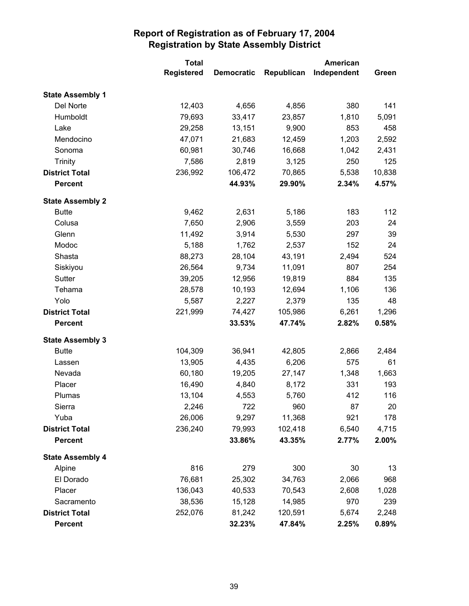|                         | <b>Total</b>      |                   | American   |             |        |
|-------------------------|-------------------|-------------------|------------|-------------|--------|
|                         | <b>Registered</b> | <b>Democratic</b> | Republican | Independent | Green  |
| <b>State Assembly 1</b> |                   |                   |            |             |        |
| Del Norte               | 12,403            | 4,656             | 4,856      | 380         | 141    |
| Humboldt                | 79,693            | 33,417            | 23,857     | 1,810       | 5,091  |
| Lake                    | 29,258            | 13,151            | 9,900      | 853         | 458    |
| Mendocino               | 47,071            | 21,683            | 12,459     | 1,203       | 2,592  |
| Sonoma                  | 60,981            | 30,746            | 16,668     | 1,042       | 2,431  |
| <b>Trinity</b>          | 7,586             | 2,819             | 3,125      | 250         | 125    |
| <b>District Total</b>   | 236,992           | 106,472           | 70,865     | 5,538       | 10,838 |
| <b>Percent</b>          |                   | 44.93%            | 29.90%     | 2.34%       | 4.57%  |
| <b>State Assembly 2</b> |                   |                   |            |             |        |
| <b>Butte</b>            | 9,462             | 2,631             | 5,186      | 183         | 112    |
| Colusa                  | 7,650             | 2,906             | 3,559      | 203         | 24     |
| Glenn                   | 11,492            | 3,914             | 5,530      | 297         | 39     |
| Modoc                   | 5,188             | 1,762             | 2,537      | 152         | 24     |
| Shasta                  | 88,273            | 28,104            | 43,191     | 2,494       | 524    |
| Siskiyou                | 26,564            | 9,734             | 11,091     | 807         | 254    |
| Sutter                  | 39,205            | 12,956            | 19,819     | 884         | 135    |
| Tehama                  | 28,578            | 10,193            | 12,694     | 1,106       | 136    |
| Yolo                    | 5,587             | 2,227             | 2,379      | 135         | 48     |
| <b>District Total</b>   | 221,999           | 74,427            | 105,986    | 6,261       | 1,296  |
| <b>Percent</b>          |                   | 33.53%            | 47.74%     | 2.82%       | 0.58%  |
| <b>State Assembly 3</b> |                   |                   |            |             |        |
| <b>Butte</b>            | 104,309           | 36,941            | 42,805     | 2,866       | 2,484  |
| Lassen                  | 13,905            | 4,435             | 6,206      | 575         | 61     |
| Nevada                  | 60,180            | 19,205            | 27,147     | 1,348       | 1,663  |
| Placer                  | 16,490            | 4,840             | 8,172      | 331         | 193    |
| Plumas                  | 13,104            | 4,553             | 5,760      | 412         | 116    |
| Sierra                  | 2,246             | 722               | 960        | 87          | 20     |
| Yuba                    | 26,006            | 9,297             | 11,368     | 921         | 178    |
| <b>District Total</b>   | 236,240           | 79,993            | 102,418    | 6,540       | 4,715  |
| <b>Percent</b>          |                   | 33.86%            | 43.35%     | 2.77%       | 2.00%  |
| <b>State Assembly 4</b> |                   |                   |            |             |        |
| Alpine                  | 816               | 279               | 300        | 30          | 13     |
| El Dorado               | 76,681            | 25,302            | 34,763     | 2,066       | 968    |
| Placer                  | 136,043           | 40,533            | 70,543     | 2,608       | 1,028  |
| Sacramento              | 38,536            | 15,128            | 14,985     | 970         | 239    |
| <b>District Total</b>   | 252,076           | 81,242            | 120,591    | 5,674       | 2,248  |
| <b>Percent</b>          |                   | 32.23%            | 47.84%     | 2.25%       | 0.89%  |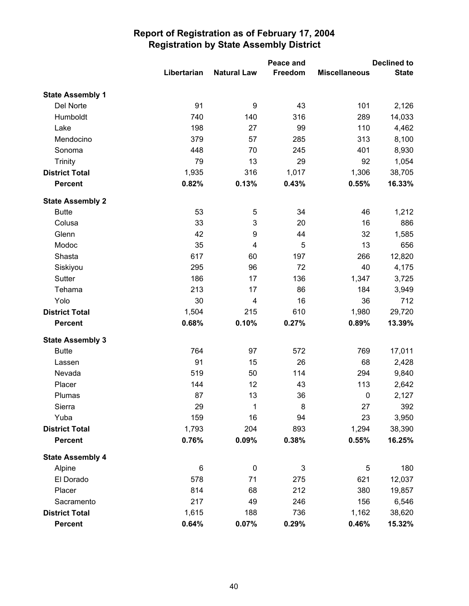|                         |             |                    | Peace and |                      | <b>Declined to</b> |  |
|-------------------------|-------------|--------------------|-----------|----------------------|--------------------|--|
|                         | Libertarian | <b>Natural Law</b> | Freedom   | <b>Miscellaneous</b> | <b>State</b>       |  |
| <b>State Assembly 1</b> |             |                    |           |                      |                    |  |
| Del Norte               | 91          | 9                  | 43        | 101                  | 2,126              |  |
| Humboldt                | 740         | 140                | 316       | 289                  | 14,033             |  |
| Lake                    | 198         | 27                 | 99        | 110                  | 4,462              |  |
| Mendocino               | 379         | 57                 | 285       | 313                  | 8,100              |  |
| Sonoma                  | 448         | 70                 | 245       | 401                  | 8,930              |  |
| <b>Trinity</b>          | 79          | 13                 | 29        | 92                   | 1,054              |  |
| <b>District Total</b>   | 1,935       | 316                | 1,017     | 1,306                | 38,705             |  |
| <b>Percent</b>          | 0.82%       | 0.13%              | 0.43%     | 0.55%                | 16.33%             |  |
| <b>State Assembly 2</b> |             |                    |           |                      |                    |  |
| <b>Butte</b>            | 53          | 5                  | 34        | 46                   | 1,212              |  |
| Colusa                  | 33          | 3                  | 20        | 16                   | 886                |  |
| Glenn                   | 42          | 9                  | 44        | 32                   | 1,585              |  |
| Modoc                   | 35          | 4                  | 5         | 13                   | 656                |  |
| Shasta                  | 617         | 60                 | 197       | 266                  | 12,820             |  |
| Siskiyou                | 295         | 96                 | 72        | 40                   | 4,175              |  |
| Sutter                  | 186         | 17                 | 136       | 1,347                | 3,725              |  |
| Tehama                  | 213         | 17                 | 86        | 184                  | 3,949              |  |
| Yolo                    | 30          | 4                  | 16        | 36                   | 712                |  |
| <b>District Total</b>   | 1,504       | 215                | 610       | 1,980                | 29,720             |  |
| <b>Percent</b>          | 0.68%       | 0.10%              | 0.27%     | 0.89%                | 13.39%             |  |
| <b>State Assembly 3</b> |             |                    |           |                      |                    |  |
| <b>Butte</b>            | 764         | 97                 | 572       | 769                  | 17,011             |  |
| Lassen                  | 91          | 15                 | 26        | 68                   | 2,428              |  |
| Nevada                  | 519         | 50                 | 114       | 294                  | 9,840              |  |
| Placer                  | 144         | 12                 | 43        | 113                  | 2,642              |  |
| Plumas                  | 87          | 13                 | 36        | $\pmb{0}$            | 2,127              |  |
| Sierra                  | 29          | 1                  | 8         | 27                   | 392                |  |
| Yuba                    | 159         | 16                 | 94        | 23                   | 3,950              |  |
| <b>District Total</b>   | 1,793       | 204                | 893       | 1,294                | 38,390             |  |
| <b>Percent</b>          | 0.76%       | 0.09%              | 0.38%     | 0.55%                | 16.25%             |  |
| <b>State Assembly 4</b> |             |                    |           |                      |                    |  |
| Alpine                  | 6           | $\pmb{0}$          | 3         | 5                    | 180                |  |
| El Dorado               | 578         | 71                 | 275       | 621                  | 12,037             |  |
| Placer                  | 814         | 68                 | 212       | 380                  | 19,857             |  |
| Sacramento              | 217         | 49                 | 246       | 156                  | 6,546              |  |
| <b>District Total</b>   | 1,615       | 188                | 736       | 1,162                | 38,620             |  |
| <b>Percent</b>          | 0.64%       | 0.07%              | 0.29%     | 0.46%                | 15.32%             |  |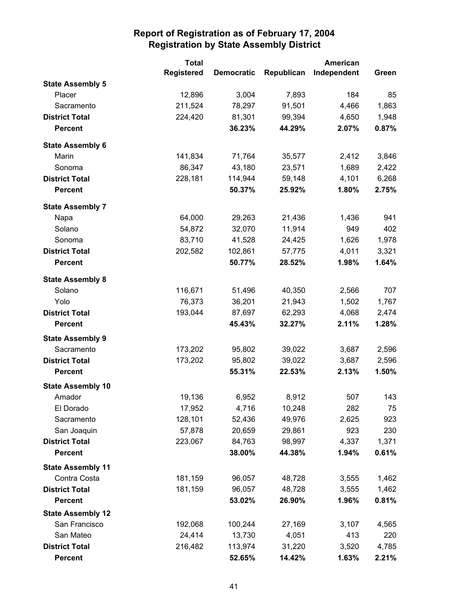|                          | <b>Total</b>      |                   | <b>American</b> |             |       |
|--------------------------|-------------------|-------------------|-----------------|-------------|-------|
|                          | <b>Registered</b> | <b>Democratic</b> | Republican      | Independent | Green |
| <b>State Assembly 5</b>  |                   |                   |                 |             |       |
| Placer                   | 12,896            | 3,004             | 7,893           | 184         | 85    |
| Sacramento               | 211,524           | 78,297            | 91,501          | 4,466       | 1,863 |
| <b>District Total</b>    | 224,420           | 81,301            | 99,394          | 4,650       | 1,948 |
| <b>Percent</b>           |                   | 36.23%            | 44.29%          | 2.07%       | 0.87% |
| <b>State Assembly 6</b>  |                   |                   |                 |             |       |
| Marin                    | 141,834           | 71,764            | 35,577          | 2,412       | 3,846 |
| Sonoma                   | 86,347            | 43,180            | 23,571          | 1,689       | 2,422 |
| <b>District Total</b>    | 228,181           | 114,944           | 59,148          | 4,101       | 6,268 |
| <b>Percent</b>           |                   | 50.37%            | 25.92%          | 1.80%       | 2.75% |
| <b>State Assembly 7</b>  |                   |                   |                 |             |       |
| Napa                     | 64,000            | 29,263            | 21,436          | 1,436       | 941   |
| Solano                   | 54,872            | 32,070            | 11,914          | 949         | 402   |
| Sonoma                   | 83,710            | 41,528            | 24,425          | 1,626       | 1,978 |
| <b>District Total</b>    | 202,582           | 102,861           | 57,775          | 4,011       | 3,321 |
| <b>Percent</b>           |                   | 50.77%            | 28.52%          | 1.98%       | 1.64% |
| <b>State Assembly 8</b>  |                   |                   |                 |             |       |
| Solano                   | 116,671           | 51,496            | 40,350          | 2,566       | 707   |
| Yolo                     | 76,373            | 36,201            | 21,943          | 1,502       | 1,767 |
| <b>District Total</b>    | 193,044           | 87,697            | 62,293          | 4,068       | 2,474 |
| <b>Percent</b>           |                   | 45.43%            | 32.27%          | 2.11%       | 1.28% |
| <b>State Assembly 9</b>  |                   |                   |                 |             |       |
| Sacramento               | 173,202           | 95,802            | 39,022          | 3,687       | 2,596 |
| <b>District Total</b>    | 173,202           | 95,802            | 39,022          | 3,687       | 2,596 |
| <b>Percent</b>           |                   | 55.31%            | 22.53%          | 2.13%       | 1.50% |
| <b>State Assembly 10</b> |                   |                   |                 |             |       |
| Amador                   | 19,136            | 6,952             | 8,912           | 507         | 143   |
| El Dorado                | 17,952            | 4,716             | 10,248          | 282         | 75    |
| Sacramento               | 128,101           | 52,436            | 49,976          | 2,625       | 923   |
| San Joaquin              | 57,878            | 20,659            | 29,861          | 923         | 230   |
| <b>District Total</b>    | 223,067           | 84,763            | 98,997          | 4,337       | 1,371 |
| <b>Percent</b>           |                   | 38.00%            | 44.38%          | 1.94%       | 0.61% |
| <b>State Assembly 11</b> |                   |                   |                 |             |       |
| Contra Costa             | 181,159           | 96,057            | 48,728          | 3,555       | 1,462 |
| <b>District Total</b>    | 181,159           | 96,057            | 48,728          | 3,555       | 1,462 |
| <b>Percent</b>           |                   | 53.02%            | 26.90%          | 1.96%       | 0.81% |
| <b>State Assembly 12</b> |                   |                   |                 |             |       |
| San Francisco            | 192,068           | 100,244           | 27,169          | 3,107       | 4,565 |
| San Mateo                | 24,414            | 13,730            | 4,051           | 413         | 220   |
| <b>District Total</b>    | 216,482           | 113,974           | 31,220          | 3,520       | 4,785 |
| <b>Percent</b>           |                   | 52.65%            | 14.42%          | 1.63%       | 2.21% |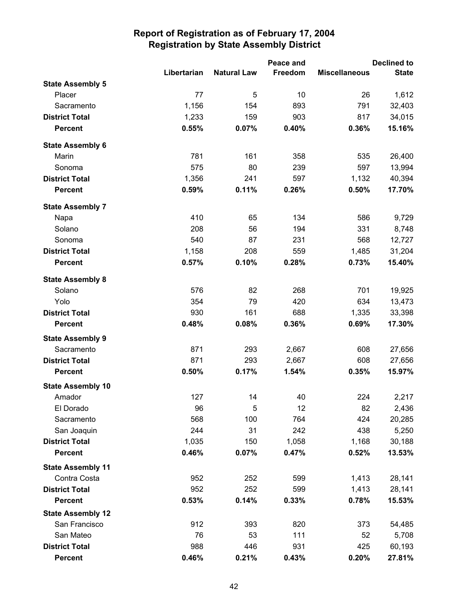|                          |             |                    | Peace and | <b>Declined to</b>   |              |
|--------------------------|-------------|--------------------|-----------|----------------------|--------------|
|                          | Libertarian | <b>Natural Law</b> | Freedom   | <b>Miscellaneous</b> | <b>State</b> |
| <b>State Assembly 5</b>  |             |                    |           |                      |              |
| Placer                   | 77          | 5                  | 10        | 26                   | 1,612        |
| Sacramento               | 1,156       | 154                | 893       | 791                  | 32,403       |
| <b>District Total</b>    | 1,233       | 159                | 903       | 817                  | 34,015       |
| <b>Percent</b>           | 0.55%       | 0.07%              | 0.40%     | 0.36%                | 15.16%       |
| <b>State Assembly 6</b>  |             |                    |           |                      |              |
| Marin                    | 781         | 161                | 358       | 535                  | 26,400       |
| Sonoma                   | 575         | 80                 | 239       | 597                  | 13,994       |
| <b>District Total</b>    | 1,356       | 241                | 597       | 1,132                | 40,394       |
| <b>Percent</b>           | 0.59%       | 0.11%              | 0.26%     | 0.50%                | 17.70%       |
| <b>State Assembly 7</b>  |             |                    |           |                      |              |
| Napa                     | 410         | 65                 | 134       | 586                  | 9,729        |
| Solano                   | 208         | 56                 | 194       | 331                  | 8,748        |
| Sonoma                   | 540         | 87                 | 231       | 568                  | 12,727       |
| <b>District Total</b>    | 1,158       | 208                | 559       | 1,485                | 31,204       |
| <b>Percent</b>           | 0.57%       | 0.10%              | 0.28%     | 0.73%                | 15.40%       |
| <b>State Assembly 8</b>  |             |                    |           |                      |              |
| Solano                   | 576         | 82                 | 268       | 701                  | 19,925       |
| Yolo                     | 354         | 79                 | 420       | 634                  | 13,473       |
| <b>District Total</b>    | 930         | 161                | 688       | 1,335                | 33,398       |
| <b>Percent</b>           | 0.48%       | 0.08%              | 0.36%     | 0.69%                | 17.30%       |
| <b>State Assembly 9</b>  |             |                    |           |                      |              |
| Sacramento               | 871         | 293                | 2,667     | 608                  | 27,656       |
| <b>District Total</b>    | 871         | 293                | 2,667     | 608                  | 27,656       |
| <b>Percent</b>           | 0.50%       | 0.17%              | 1.54%     | 0.35%                | 15.97%       |
| <b>State Assembly 10</b> |             |                    |           |                      |              |
| Amador                   | 127         | 14                 | 40        | 224                  | 2,217        |
| El Dorado                | 96          | 5                  | 12        | 82                   | 2,436        |
| Sacramento               | 568         | 100                | 764       | 424                  | 20,285       |
| San Joaquin              | 244         | 31                 | 242       | 438                  | 5,250        |
| <b>District Total</b>    | 1,035       | 150                | 1,058     | 1,168                | 30,188       |
| <b>Percent</b>           | 0.46%       | 0.07%              | 0.47%     | 0.52%                | 13.53%       |
| <b>State Assembly 11</b> |             |                    |           |                      |              |
| Contra Costa             | 952         | 252                | 599       | 1,413                | 28,141       |
| <b>District Total</b>    | 952         | 252                | 599       | 1,413                | 28,141       |
| <b>Percent</b>           | 0.53%       | 0.14%              | 0.33%     | 0.78%                | 15.53%       |
| <b>State Assembly 12</b> |             |                    |           |                      |              |
| San Francisco            | 912         | 393                | 820       | 373                  | 54,485       |
| San Mateo                | 76          | 53                 | 111       | 52                   | 5,708        |
| <b>District Total</b>    | 988         | 446                | 931       | 425                  | 60,193       |
| <b>Percent</b>           | 0.46%       | 0.21%              | 0.43%     | 0.20%                | 27.81%       |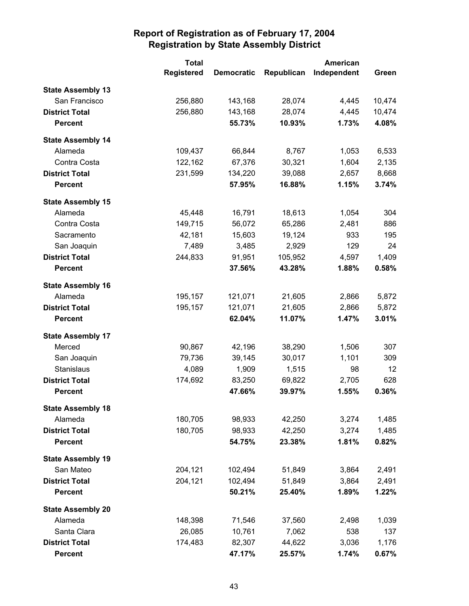|                          | <b>Total</b>      |                   | <b>American</b> |             |        |
|--------------------------|-------------------|-------------------|-----------------|-------------|--------|
|                          | <b>Registered</b> | <b>Democratic</b> | Republican      | Independent | Green  |
| <b>State Assembly 13</b> |                   |                   |                 |             |        |
| San Francisco            | 256,880           | 143,168           | 28,074          | 4,445       | 10,474 |
| <b>District Total</b>    | 256,880           | 143,168           | 28,074          | 4,445       | 10,474 |
| <b>Percent</b>           |                   | 55.73%            | 10.93%          | 1.73%       | 4.08%  |
| <b>State Assembly 14</b> |                   |                   |                 |             |        |
| Alameda                  | 109,437           | 66,844            | 8,767           | 1,053       | 6,533  |
| Contra Costa             | 122,162           | 67,376            | 30,321          | 1,604       | 2,135  |
| <b>District Total</b>    | 231,599           | 134,220           | 39,088          | 2,657       | 8,668  |
| <b>Percent</b>           |                   | 57.95%            | 16.88%          | 1.15%       | 3.74%  |
| <b>State Assembly 15</b> |                   |                   |                 |             |        |
| Alameda                  | 45,448            | 16,791            | 18,613          | 1,054       | 304    |
| Contra Costa             | 149,715           | 56,072            | 65,286          | 2,481       | 886    |
| Sacramento               | 42,181            | 15,603            | 19,124          | 933         | 195    |
| San Joaquin              | 7,489             | 3,485             | 2,929           | 129         | 24     |
| <b>District Total</b>    | 244,833           | 91,951            | 105,952         | 4,597       | 1,409  |
| <b>Percent</b>           |                   | 37.56%            | 43.28%          | 1.88%       | 0.58%  |
| <b>State Assembly 16</b> |                   |                   |                 |             |        |
| Alameda                  | 195,157           | 121,071           | 21,605          | 2,866       | 5,872  |
| <b>District Total</b>    | 195,157           | 121,071           | 21,605          | 2,866       | 5,872  |
| <b>Percent</b>           |                   | 62.04%            | 11.07%          | 1.47%       | 3.01%  |
| <b>State Assembly 17</b> |                   |                   |                 |             |        |
| Merced                   | 90,867            | 42,196            | 38,290          | 1,506       | 307    |
| San Joaquin              | 79,736            | 39,145            | 30,017          | 1,101       | 309    |
| Stanislaus               | 4,089             | 1,909             | 1,515           | 98          | 12     |
| <b>District Total</b>    | 174,692           | 83,250            | 69,822          | 2,705       | 628    |
| <b>Percent</b>           |                   | 47.66%            | 39.97%          | 1.55%       | 0.36%  |
| <b>State Assembly 18</b> |                   |                   |                 |             |        |
| Alameda                  | 180,705           | 98,933            | 42,250          | 3,274       | 1,485  |
| <b>District Total</b>    | 180,705           | 98,933            | 42,250          | 3,274       | 1,485  |
| <b>Percent</b>           |                   | 54.75%            | 23.38%          | 1.81%       | 0.82%  |
| <b>State Assembly 19</b> |                   |                   |                 |             |        |
| San Mateo                | 204,121           | 102,494           | 51,849          | 3,864       | 2,491  |
| <b>District Total</b>    | 204,121           | 102,494           | 51,849          | 3,864       | 2,491  |
| <b>Percent</b>           |                   | 50.21%            | 25.40%          | 1.89%       | 1.22%  |
| <b>State Assembly 20</b> |                   |                   |                 |             |        |
| Alameda                  | 148,398           | 71,546            | 37,560          | 2,498       | 1,039  |
| Santa Clara              | 26,085            | 10,761            | 7,062           | 538         | 137    |
| <b>District Total</b>    | 174,483           | 82,307            | 44,622          | 3,036       | 1,176  |
| <b>Percent</b>           |                   | 47.17%            | 25.57%          | 1.74%       | 0.67%  |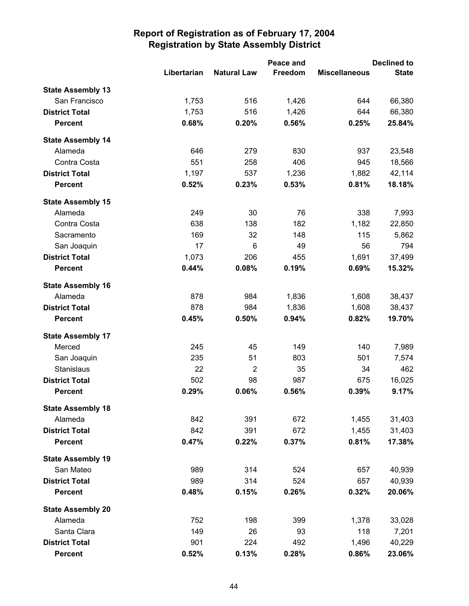|                          |             |                    | Peace and |                      | <b>Declined to</b> |  |
|--------------------------|-------------|--------------------|-----------|----------------------|--------------------|--|
|                          | Libertarian | <b>Natural Law</b> | Freedom   | <b>Miscellaneous</b> | <b>State</b>       |  |
| <b>State Assembly 13</b> |             |                    |           |                      |                    |  |
| San Francisco            | 1,753       | 516                | 1,426     | 644                  | 66,380             |  |
| <b>District Total</b>    | 1,753       | 516                | 1,426     | 644                  | 66,380             |  |
| <b>Percent</b>           | 0.68%       | 0.20%              | 0.56%     | 0.25%                | 25.84%             |  |
| <b>State Assembly 14</b> |             |                    |           |                      |                    |  |
| Alameda                  | 646         | 279                | 830       | 937                  | 23,548             |  |
| Contra Costa             | 551         | 258                | 406       | 945                  | 18,566             |  |
| <b>District Total</b>    | 1,197       | 537                | 1,236     | 1,882                | 42,114             |  |
| <b>Percent</b>           | 0.52%       | 0.23%              | 0.53%     | 0.81%                | 18.18%             |  |
| <b>State Assembly 15</b> |             |                    |           |                      |                    |  |
| Alameda                  | 249         | 30                 | 76        | 338                  | 7,993              |  |
| Contra Costa             | 638         | 138                | 182       | 1,182                | 22,850             |  |
| Sacramento               | 169         | 32                 | 148       | 115                  | 5,862              |  |
| San Joaquin              | 17          | 6                  | 49        | 56                   | 794                |  |
| <b>District Total</b>    | 1,073       | 206                | 455       | 1,691                | 37,499             |  |
| <b>Percent</b>           | 0.44%       | 0.08%              | 0.19%     | 0.69%                | 15.32%             |  |
| <b>State Assembly 16</b> |             |                    |           |                      |                    |  |
| Alameda                  | 878         | 984                | 1,836     | 1,608                | 38,437             |  |
| <b>District Total</b>    | 878         | 984                | 1,836     | 1,608                | 38,437             |  |
| <b>Percent</b>           | 0.45%       | 0.50%              | 0.94%     | 0.82%                | 19.70%             |  |
| <b>State Assembly 17</b> |             |                    |           |                      |                    |  |
| Merced                   | 245         | 45                 | 149       | 140                  | 7,989              |  |
| San Joaquin              | 235         | 51                 | 803       | 501                  | 7,574              |  |
| <b>Stanislaus</b>        | 22          | $\overline{2}$     | 35        | 34                   | 462                |  |
| <b>District Total</b>    | 502         | 98                 | 987       | 675                  | 16,025             |  |
| <b>Percent</b>           | 0.29%       | 0.06%              | 0.56%     | 0.39%                | 9.17%              |  |
| <b>State Assembly 18</b> |             |                    |           |                      |                    |  |
| Alameda                  | 842         | 391                | 672       | 1,455                | 31,403             |  |
| <b>District Total</b>    | 842         | 391                | 672       | 1,455                | 31,403             |  |
| <b>Percent</b>           | 0.47%       | 0.22%              | 0.37%     | 0.81%                | 17.38%             |  |
| <b>State Assembly 19</b> |             |                    |           |                      |                    |  |
| San Mateo                | 989         | 314                | 524       | 657                  | 40,939             |  |
| <b>District Total</b>    | 989         | 314                | 524       | 657                  | 40,939             |  |
| <b>Percent</b>           | 0.48%       | 0.15%              | 0.26%     | 0.32%                | 20.06%             |  |
| <b>State Assembly 20</b> |             |                    |           |                      |                    |  |
| Alameda                  | 752         | 198                | 399       | 1,378                | 33,028             |  |
| Santa Clara              | 149         | 26                 | 93        | 118                  | 7,201              |  |
| <b>District Total</b>    | 901         | 224                | 492       | 1,496                | 40,229             |  |
| <b>Percent</b>           | 0.52%       | 0.13%              | 0.28%     | 0.86%                | 23.06%             |  |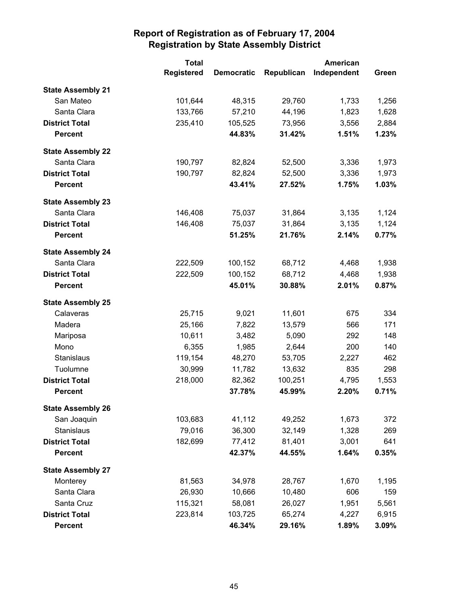|                          | <b>Total</b>      | American          |            |             |       |
|--------------------------|-------------------|-------------------|------------|-------------|-------|
|                          | <b>Registered</b> | <b>Democratic</b> | Republican | Independent | Green |
| <b>State Assembly 21</b> |                   |                   |            |             |       |
| San Mateo                | 101,644           | 48,315            | 29,760     | 1,733       | 1,256 |
| Santa Clara              | 133,766           | 57,210            | 44,196     | 1,823       | 1,628 |
| <b>District Total</b>    | 235,410           | 105,525           | 73,956     | 3,556       | 2,884 |
| <b>Percent</b>           |                   | 44.83%            | 31.42%     | 1.51%       | 1.23% |
| <b>State Assembly 22</b> |                   |                   |            |             |       |
| Santa Clara              | 190,797           | 82,824            | 52,500     | 3,336       | 1,973 |
| <b>District Total</b>    | 190,797           | 82,824            | 52,500     | 3,336       | 1,973 |
| <b>Percent</b>           |                   | 43.41%            | 27.52%     | 1.75%       | 1.03% |
| <b>State Assembly 23</b> |                   |                   |            |             |       |
| Santa Clara              | 146,408           | 75,037            | 31,864     | 3,135       | 1,124 |
| <b>District Total</b>    | 146,408           | 75,037            | 31,864     | 3,135       | 1,124 |
| <b>Percent</b>           |                   | 51.25%            | 21.76%     | 2.14%       | 0.77% |
| <b>State Assembly 24</b> |                   |                   |            |             |       |
| Santa Clara              | 222,509           | 100,152           | 68,712     | 4,468       | 1,938 |
| <b>District Total</b>    | 222,509           | 100,152           | 68,712     | 4,468       | 1,938 |
| <b>Percent</b>           |                   | 45.01%            | 30.88%     | 2.01%       | 0.87% |
| <b>State Assembly 25</b> |                   |                   |            |             |       |
| Calaveras                | 25,715            | 9,021             | 11,601     | 675         | 334   |
| Madera                   | 25,166            | 7,822             | 13,579     | 566         | 171   |
| Mariposa                 | 10,611            | 3,482             | 5,090      | 292         | 148   |
| Mono                     | 6,355             | 1,985             | 2,644      | 200         | 140   |
| Stanislaus               | 119,154           | 48,270            | 53,705     | 2,227       | 462   |
| Tuolumne                 | 30,999            | 11,782            | 13,632     | 835         | 298   |
| <b>District Total</b>    | 218,000           | 82,362            | 100,251    | 4,795       | 1,553 |
| <b>Percent</b>           |                   | 37.78%            | 45.99%     | 2.20%       | 0.71% |
| <b>State Assembly 26</b> |                   |                   |            |             |       |
| San Joaquin              | 103,683           | 41,112            | 49,252     | 1,673       | 372   |
| Stanislaus               | 79,016            | 36,300            | 32,149     | 1,328       | 269   |
| <b>District Total</b>    | 182,699           | 77,412            | 81,401     | 3,001       | 641   |
| <b>Percent</b>           |                   | 42.37%            | 44.55%     | 1.64%       | 0.35% |
| <b>State Assembly 27</b> |                   |                   |            |             |       |
| Monterey                 | 81,563            | 34,978            | 28,767     | 1,670       | 1,195 |
| Santa Clara              | 26,930            | 10,666            | 10,480     | 606         | 159   |
| Santa Cruz               | 115,321           | 58,081            | 26,027     | 1,951       | 5,561 |
| <b>District Total</b>    | 223,814           | 103,725           | 65,274     | 4,227       | 6,915 |
| <b>Percent</b>           |                   | 46.34%            | 29.16%     | 1.89%       | 3.09% |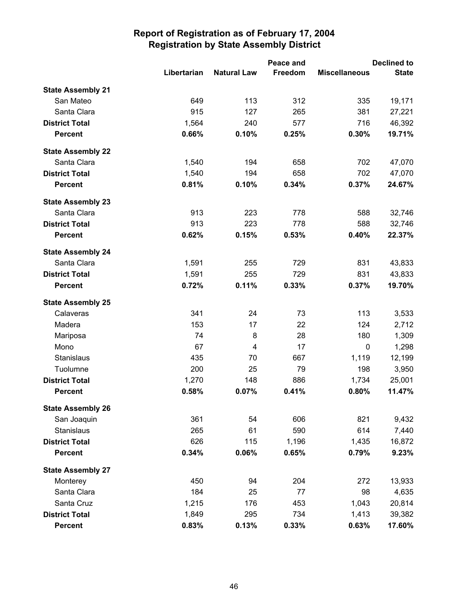|                          |             | Peace and          |         | <b>Declined to</b>   |              |  |
|--------------------------|-------------|--------------------|---------|----------------------|--------------|--|
|                          | Libertarian | <b>Natural Law</b> | Freedom | <b>Miscellaneous</b> | <b>State</b> |  |
| <b>State Assembly 21</b> |             |                    |         |                      |              |  |
| San Mateo                | 649         | 113                | 312     | 335                  | 19,171       |  |
| Santa Clara              | 915         | 127                | 265     | 381                  | 27,221       |  |
| <b>District Total</b>    | 1,564       | 240                | 577     | 716                  | 46,392       |  |
| <b>Percent</b>           | 0.66%       | 0.10%              | 0.25%   | 0.30%                | 19.71%       |  |
| <b>State Assembly 22</b> |             |                    |         |                      |              |  |
| Santa Clara              | 1,540       | 194                | 658     | 702                  | 47,070       |  |
| <b>District Total</b>    | 1,540       | 194                | 658     | 702                  | 47,070       |  |
| <b>Percent</b>           | 0.81%       | 0.10%              | 0.34%   | 0.37%                | 24.67%       |  |
| <b>State Assembly 23</b> |             |                    |         |                      |              |  |
| Santa Clara              | 913         | 223                | 778     | 588                  | 32,746       |  |
| <b>District Total</b>    | 913         | 223                | 778     | 588                  | 32,746       |  |
| <b>Percent</b>           | 0.62%       | 0.15%              | 0.53%   | 0.40%                | 22.37%       |  |
| <b>State Assembly 24</b> |             |                    |         |                      |              |  |
| Santa Clara              | 1,591       | 255                | 729     | 831                  | 43,833       |  |
| <b>District Total</b>    | 1,591       | 255                | 729     | 831                  | 43,833       |  |
| <b>Percent</b>           | 0.72%       | 0.11%              | 0.33%   | 0.37%                | 19.70%       |  |
| <b>State Assembly 25</b> |             |                    |         |                      |              |  |
| Calaveras                | 341         | 24                 | 73      | 113                  | 3,533        |  |
| Madera                   | 153         | 17                 | 22      | 124                  | 2,712        |  |
| Mariposa                 | 74          | 8                  | 28      | 180                  | 1,309        |  |
| Mono                     | 67          | 4                  | 17      | $\mathbf 0$          | 1,298        |  |
| Stanislaus               | 435         | 70                 | 667     | 1,119                | 12,199       |  |
| Tuolumne                 | 200         | 25                 | 79      | 198                  | 3,950        |  |
| <b>District Total</b>    | 1,270       | 148                | 886     | 1,734                | 25,001       |  |
| <b>Percent</b>           | 0.58%       | 0.07%              | 0.41%   | 0.80%                | 11.47%       |  |
| <b>State Assembly 26</b> |             |                    |         |                      |              |  |
| San Joaquin              | 361         | 54                 | 606     | 821                  | 9,432        |  |
| Stanislaus               | 265         | 61                 | 590     | 614                  | 7,440        |  |
| <b>District Total</b>    | 626         | 115                | 1,196   | 1,435                | 16,872       |  |
| <b>Percent</b>           | 0.34%       | 0.06%              | 0.65%   | 0.79%                | 9.23%        |  |
| <b>State Assembly 27</b> |             |                    |         |                      |              |  |
| Monterey                 | 450         | 94                 | 204     | 272                  | 13,933       |  |
| Santa Clara              | 184         | 25                 | 77      | 98                   | 4,635        |  |
| Santa Cruz               | 1,215       | 176                | 453     | 1,043                | 20,814       |  |
| <b>District Total</b>    | 1,849       | 295                | 734     | 1,413                | 39,382       |  |
| <b>Percent</b>           | 0.83%       | 0.13%              | 0.33%   | 0.63%                | 17.60%       |  |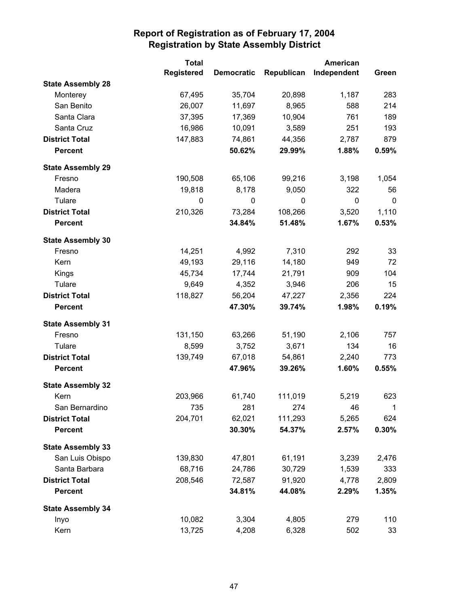|                          | <b>Total</b>      |                   |            | American    |       |
|--------------------------|-------------------|-------------------|------------|-------------|-------|
|                          | <b>Registered</b> | <b>Democratic</b> | Republican | Independent | Green |
| <b>State Assembly 28</b> |                   |                   |            |             |       |
| Monterey                 | 67,495            | 35,704            | 20,898     | 1,187       | 283   |
| San Benito               | 26,007            | 11,697            | 8,965      | 588         | 214   |
| Santa Clara              | 37,395            | 17,369            | 10,904     | 761         | 189   |
| Santa Cruz               | 16,986            | 10,091            | 3,589      | 251         | 193   |
| <b>District Total</b>    | 147,883           | 74,861            | 44,356     | 2,787       | 879   |
| <b>Percent</b>           |                   | 50.62%            | 29.99%     | 1.88%       | 0.59% |
| <b>State Assembly 29</b> |                   |                   |            |             |       |
| Fresno                   | 190,508           | 65,106            | 99,216     | 3,198       | 1,054 |
| Madera                   | 19,818            | 8,178             | 9,050      | 322         | 56    |
| Tulare                   | $\mathbf 0$       | $\pmb{0}$         | 0          | $\mathbf 0$ | 0     |
| <b>District Total</b>    | 210,326           | 73,284            | 108,266    | 3,520       | 1,110 |
| <b>Percent</b>           |                   | 34.84%            | 51.48%     | 1.67%       | 0.53% |
| <b>State Assembly 30</b> |                   |                   |            |             |       |
| Fresno                   | 14,251            | 4,992             | 7,310      | 292         | 33    |
| Kern                     | 49,193            | 29,116            | 14,180     | 949         | 72    |
| Kings                    | 45,734            | 17,744            | 21,791     | 909         | 104   |
| Tulare                   | 9,649             | 4,352             | 3,946      | 206         | 15    |
| <b>District Total</b>    | 118,827           | 56,204            | 47,227     | 2,356       | 224   |
| <b>Percent</b>           |                   | 47.30%            | 39.74%     | 1.98%       | 0.19% |
| <b>State Assembly 31</b> |                   |                   |            |             |       |
| Fresno                   | 131,150           | 63,266            | 51,190     | 2,106       | 757   |
| Tulare                   | 8,599             | 3,752             | 3,671      | 134         | 16    |
| <b>District Total</b>    | 139,749           | 67,018            | 54,861     | 2,240       | 773   |
| <b>Percent</b>           |                   | 47.96%            | 39.26%     | 1.60%       | 0.55% |
| <b>State Assembly 32</b> |                   |                   |            |             |       |
| Kern                     | 203,966           | 61,740            | 111,019    | 5,219       | 623   |
| San Bernardino           | 735               | 281               | 274        | 46          | 1     |
| <b>District Total</b>    | 204,701           | 62,021            | 111,293    | 5,265       | 624   |
| <b>Percent</b>           |                   | 30.30%            | 54.37%     | 2.57%       | 0.30% |
| <b>State Assembly 33</b> |                   |                   |            |             |       |
| San Luis Obispo          | 139,830           | 47,801            | 61,191     | 3,239       | 2,476 |
| Santa Barbara            | 68,716            | 24,786            | 30,729     | 1,539       | 333   |
| <b>District Total</b>    | 208,546           | 72,587            | 91,920     | 4,778       | 2,809 |
| <b>Percent</b>           |                   | 34.81%            | 44.08%     | 2.29%       | 1.35% |
| <b>State Assembly 34</b> |                   |                   |            |             |       |
| Inyo                     | 10,082            | 3,304             | 4,805      | 279         | 110   |
| Kern                     | 13,725            | 4,208             | 6,328      | 502         | 33    |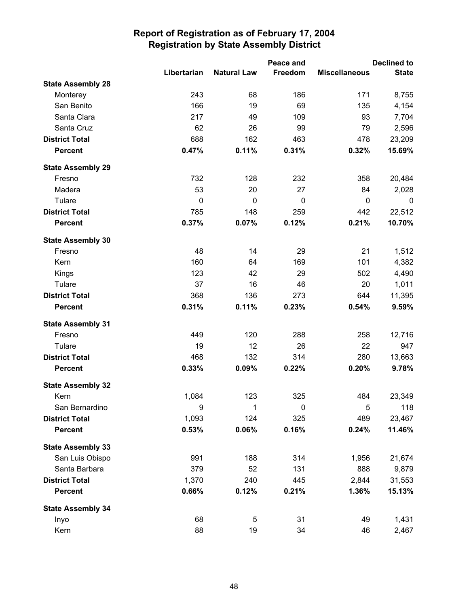|                          |             |                    | Peace and |                      | <b>Declined to</b> |
|--------------------------|-------------|--------------------|-----------|----------------------|--------------------|
|                          | Libertarian | <b>Natural Law</b> | Freedom   | <b>Miscellaneous</b> | <b>State</b>       |
| <b>State Assembly 28</b> |             |                    |           |                      |                    |
| Monterey                 | 243         | 68                 | 186       | 171                  | 8,755              |
| San Benito               | 166         | 19                 | 69        | 135                  | 4,154              |
| Santa Clara              | 217         | 49                 | 109       | 93                   | 7,704              |
| Santa Cruz               | 62          | 26                 | 99        | 79                   | 2,596              |
| <b>District Total</b>    | 688         | 162                | 463       | 478                  | 23,209             |
| <b>Percent</b>           | 0.47%       | 0.11%              | 0.31%     | 0.32%                | 15.69%             |
| <b>State Assembly 29</b> |             |                    |           |                      |                    |
| Fresno                   | 732         | 128                | 232       | 358                  | 20,484             |
| Madera                   | 53          | 20                 | 27        | 84                   | 2,028              |
| Tulare                   | $\pmb{0}$   | $\mathbf 0$        | $\pmb{0}$ | $\mathbf 0$          | $\mathbf 0$        |
| <b>District Total</b>    | 785         | 148                | 259       | 442                  | 22,512             |
| <b>Percent</b>           | 0.37%       | 0.07%              | 0.12%     | 0.21%                | 10.70%             |
| <b>State Assembly 30</b> |             |                    |           |                      |                    |
| Fresno                   | 48          | 14                 | 29        | 21                   | 1,512              |
| Kern                     | 160         | 64                 | 169       | 101                  | 4,382              |
| Kings                    | 123         | 42                 | 29        | 502                  | 4,490              |
| Tulare                   | 37          | 16                 | 46        | 20                   | 1,011              |
| <b>District Total</b>    | 368         | 136                | 273       | 644                  | 11,395             |
| <b>Percent</b>           | 0.31%       | 0.11%              | 0.23%     | 0.54%                | 9.59%              |
| <b>State Assembly 31</b> |             |                    |           |                      |                    |
| Fresno                   | 449         | 120                | 288       | 258                  | 12,716             |
| Tulare                   | 19          | 12                 | 26        | 22                   | 947                |
| <b>District Total</b>    | 468         | 132                | 314       | 280                  | 13,663             |
| <b>Percent</b>           | 0.33%       | 0.09%              | 0.22%     | 0.20%                | 9.78%              |
| <b>State Assembly 32</b> |             |                    |           |                      |                    |
| Kern                     | 1,084       | 123                | 325       | 484                  | 23,349             |
| San Bernardino           | 9           | 1                  | $\pmb{0}$ | 5                    | 118                |
| <b>District Total</b>    | 1,093       | 124                | 325       | 489                  | 23,467             |
| <b>Percent</b>           | 0.53%       | 0.06%              | 0.16%     | 0.24%                | 11.46%             |
| <b>State Assembly 33</b> |             |                    |           |                      |                    |
| San Luis Obispo          | 991         | 188                | 314       | 1,956                | 21,674             |
| Santa Barbara            | 379         | 52                 | 131       | 888                  | 9,879              |
| <b>District Total</b>    | 1,370       | 240                | 445       | 2,844                | 31,553             |
| <b>Percent</b>           | 0.66%       | 0.12%              | 0.21%     | 1.36%                | 15.13%             |
| <b>State Assembly 34</b> |             |                    |           |                      |                    |
| Inyo                     | 68          | 5                  | 31        | 49                   | 1,431              |
| Kern                     | 88          | 19                 | 34        | 46                   | 2,467              |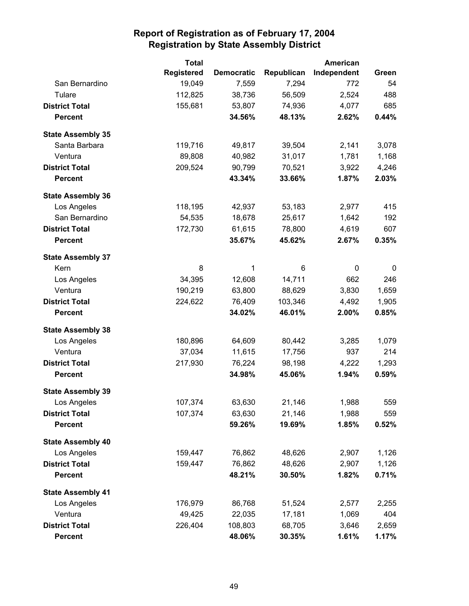|                          | <b>Total</b>      |                   |            | American    |       |
|--------------------------|-------------------|-------------------|------------|-------------|-------|
|                          | <b>Registered</b> | <b>Democratic</b> | Republican | Independent | Green |
| San Bernardino           | 19,049            | 7,559             | 7,294      | 772         | 54    |
| Tulare                   | 112,825           | 38,736            | 56,509     | 2,524       | 488   |
| <b>District Total</b>    | 155,681           | 53,807            | 74,936     | 4,077       | 685   |
| <b>Percent</b>           |                   | 34.56%            | 48.13%     | 2.62%       | 0.44% |
| <b>State Assembly 35</b> |                   |                   |            |             |       |
| Santa Barbara            | 119,716           | 49,817            | 39,504     | 2,141       | 3,078 |
| Ventura                  | 89,808            | 40,982            | 31,017     | 1,781       | 1,168 |
| <b>District Total</b>    | 209,524           | 90,799            | 70,521     | 3,922       | 4,246 |
| <b>Percent</b>           |                   | 43.34%            | 33.66%     | 1.87%       | 2.03% |
| <b>State Assembly 36</b> |                   |                   |            |             |       |
| Los Angeles              | 118,195           | 42,937            | 53,183     | 2,977       | 415   |
| San Bernardino           | 54,535            | 18,678            | 25,617     | 1,642       | 192   |
| <b>District Total</b>    | 172,730           | 61,615            | 78,800     | 4,619       | 607   |
| <b>Percent</b>           |                   | 35.67%            | 45.62%     | 2.67%       | 0.35% |
| <b>State Assembly 37</b> |                   |                   |            |             |       |
| Kern                     | 8                 | 1                 | 6          | 0           | 0     |
| Los Angeles              | 34,395            | 12,608            | 14,711     | 662         | 246   |
| Ventura                  | 190,219           | 63,800            | 88,629     | 3,830       | 1,659 |
| <b>District Total</b>    | 224,622           | 76,409            | 103,346    | 4,492       | 1,905 |
| <b>Percent</b>           |                   | 34.02%            | 46.01%     | 2.00%       | 0.85% |
| <b>State Assembly 38</b> |                   |                   |            |             |       |
| Los Angeles              | 180,896           | 64,609            | 80,442     | 3,285       | 1,079 |
| Ventura                  | 37,034            | 11,615            | 17,756     | 937         | 214   |
| <b>District Total</b>    | 217,930           | 76,224            | 98,198     | 4,222       | 1,293 |
| <b>Percent</b>           |                   | 34.98%            | 45.06%     | 1.94%       | 0.59% |
| <b>State Assembly 39</b> |                   |                   |            |             |       |
| Los Angeles              | 107,374           | 63,630            | 21,146     | 1,988       | 559   |
| <b>District Total</b>    | 107,374           | 63,630            | 21,146     | 1,988       | 559   |
| <b>Percent</b>           |                   | 59.26%            | 19.69%     | 1.85%       | 0.52% |
| <b>State Assembly 40</b> |                   |                   |            |             |       |
| Los Angeles              | 159,447           | 76,862            | 48,626     | 2,907       | 1,126 |
| <b>District Total</b>    | 159,447           | 76,862            | 48,626     | 2,907       | 1,126 |
| <b>Percent</b>           |                   | 48.21%            | 30.50%     | 1.82%       | 0.71% |
| <b>State Assembly 41</b> |                   |                   |            |             |       |
| Los Angeles              | 176,979           | 86,768            | 51,524     | 2,577       | 2,255 |
| Ventura                  | 49,425            | 22,035            | 17,181     | 1,069       | 404   |
| <b>District Total</b>    | 226,404           | 108,803           | 68,705     | 3,646       | 2,659 |
| <b>Percent</b>           |                   | 48.06%            | 30.35%     | 1.61%       | 1.17% |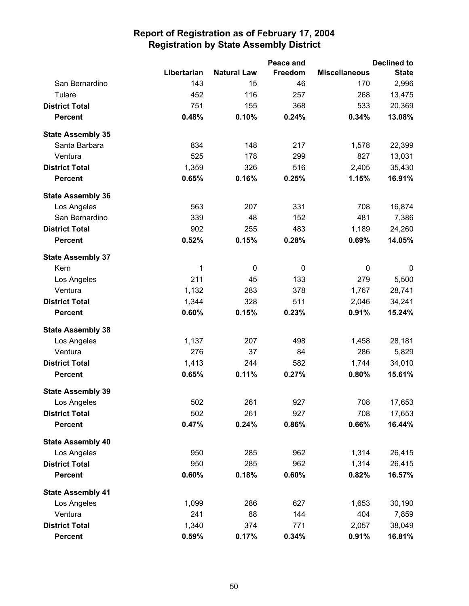|                          |             |                    | Peace and |                      | <b>Declined to</b> |
|--------------------------|-------------|--------------------|-----------|----------------------|--------------------|
|                          | Libertarian | <b>Natural Law</b> | Freedom   | <b>Miscellaneous</b> | <b>State</b>       |
| San Bernardino           | 143         | 15                 | 46        | 170                  | 2,996              |
| Tulare                   | 452         | 116                | 257       | 268                  | 13,475             |
| <b>District Total</b>    | 751         | 155                | 368       | 533                  | 20,369             |
| <b>Percent</b>           | 0.48%       | 0.10%              | 0.24%     | 0.34%                | 13.08%             |
| <b>State Assembly 35</b> |             |                    |           |                      |                    |
| Santa Barbara            | 834         | 148                | 217       | 1,578                | 22,399             |
| Ventura                  | 525         | 178                | 299       | 827                  | 13,031             |
| <b>District Total</b>    | 1,359       | 326                | 516       | 2,405                | 35,430             |
| <b>Percent</b>           | 0.65%       | 0.16%              | 0.25%     | 1.15%                | 16.91%             |
| <b>State Assembly 36</b> |             |                    |           |                      |                    |
| Los Angeles              | 563         | 207                | 331       | 708                  | 16,874             |
| San Bernardino           | 339         | 48                 | 152       | 481                  | 7,386              |
| <b>District Total</b>    | 902         | 255                | 483       | 1,189                | 24,260             |
| <b>Percent</b>           | 0.52%       | 0.15%              | 0.28%     | 0.69%                | 14.05%             |
| <b>State Assembly 37</b> |             |                    |           |                      |                    |
| Kern                     | 1           | 0                  | 0         | 0                    | 0                  |
| Los Angeles              | 211         | 45                 | 133       | 279                  | 5,500              |
| Ventura                  | 1,132       | 283                | 378       | 1,767                | 28,741             |
| <b>District Total</b>    | 1,344       | 328                | 511       | 2,046                | 34,241             |
| <b>Percent</b>           | 0.60%       | 0.15%              | 0.23%     | 0.91%                | 15.24%             |
| <b>State Assembly 38</b> |             |                    |           |                      |                    |
| Los Angeles              | 1,137       | 207                | 498       | 1,458                | 28,181             |
| Ventura                  | 276         | 37                 | 84        | 286                  | 5,829              |
| <b>District Total</b>    | 1,413       | 244                | 582       | 1,744                | 34,010             |
| <b>Percent</b>           | 0.65%       | 0.11%              | 0.27%     | 0.80%                | 15.61%             |
| <b>State Assembly 39</b> |             |                    |           |                      |                    |
| Los Angeles              | 502         | 261                | 927       | 708                  | 17,653             |
| <b>District Total</b>    | 502         | 261                | 927       | 708                  | 17,653             |
| <b>Percent</b>           | 0.47%       | 0.24%              | 0.86%     | 0.66%                | 16.44%             |
| <b>State Assembly 40</b> |             |                    |           |                      |                    |
| Los Angeles              | 950         | 285                | 962       | 1,314                | 26,415             |
| <b>District Total</b>    | 950         | 285                | 962       | 1,314                | 26,415             |
| <b>Percent</b>           | 0.60%       | 0.18%              | 0.60%     | 0.82%                | 16.57%             |
| <b>State Assembly 41</b> |             |                    |           |                      |                    |
| Los Angeles              | 1,099       | 286                | 627       | 1,653                | 30,190             |
| Ventura                  | 241         | 88                 | 144       | 404                  | 7,859              |
| <b>District Total</b>    | 1,340       | 374                | 771       | 2,057                | 38,049             |
| <b>Percent</b>           | 0.59%       | 0.17%              | 0.34%     | 0.91%                | 16.81%             |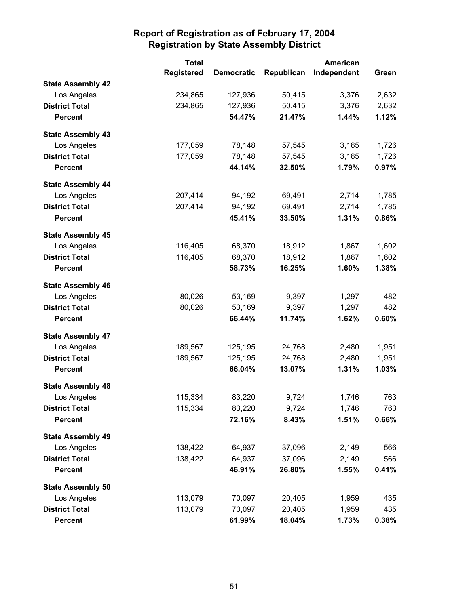|                          | <b>Total</b><br><b>American</b> |                   |            |             |       |
|--------------------------|---------------------------------|-------------------|------------|-------------|-------|
|                          | <b>Registered</b>               | <b>Democratic</b> | Republican | Independent | Green |
| <b>State Assembly 42</b> |                                 |                   |            |             |       |
| Los Angeles              | 234,865                         | 127,936           | 50,415     | 3,376       | 2,632 |
| <b>District Total</b>    | 234,865                         | 127,936           | 50,415     | 3,376       | 2,632 |
| <b>Percent</b>           |                                 | 54.47%            | 21.47%     | 1.44%       | 1.12% |
| <b>State Assembly 43</b> |                                 |                   |            |             |       |
| Los Angeles              | 177,059                         | 78,148            | 57,545     | 3,165       | 1,726 |
| <b>District Total</b>    | 177,059                         | 78,148            | 57,545     | 3,165       | 1,726 |
| <b>Percent</b>           |                                 | 44.14%            | 32.50%     | 1.79%       | 0.97% |
| <b>State Assembly 44</b> |                                 |                   |            |             |       |
| Los Angeles              | 207,414                         | 94,192            | 69,491     | 2,714       | 1,785 |
| <b>District Total</b>    | 207,414                         | 94,192            | 69,491     | 2,714       | 1,785 |
| <b>Percent</b>           |                                 | 45.41%            | 33.50%     | 1.31%       | 0.86% |
| <b>State Assembly 45</b> |                                 |                   |            |             |       |
| Los Angeles              | 116,405                         | 68,370            | 18,912     | 1,867       | 1,602 |
| <b>District Total</b>    | 116,405                         | 68,370            | 18,912     | 1,867       | 1,602 |
| <b>Percent</b>           |                                 | 58.73%            | 16.25%     | 1.60%       | 1.38% |
| <b>State Assembly 46</b> |                                 |                   |            |             |       |
| Los Angeles              | 80,026                          | 53,169            | 9,397      | 1,297       | 482   |
| <b>District Total</b>    | 80,026                          | 53,169            | 9,397      | 1,297       | 482   |
| <b>Percent</b>           |                                 | 66.44%            | 11.74%     | 1.62%       | 0.60% |
| <b>State Assembly 47</b> |                                 |                   |            |             |       |
| Los Angeles              | 189,567                         | 125,195           | 24,768     | 2,480       | 1,951 |
| <b>District Total</b>    | 189,567                         | 125,195           | 24,768     | 2,480       | 1,951 |
| <b>Percent</b>           |                                 | 66.04%            | 13.07%     | 1.31%       | 1.03% |
| <b>State Assembly 48</b> |                                 |                   |            |             |       |
| Los Angeles              | 115,334                         | 83,220            | 9,724      | 1,746       | 763   |
| <b>District Total</b>    | 115,334                         | 83,220            | 9,724      | 1,746       | 763   |
| <b>Percent</b>           |                                 | 72.16%            | 8.43%      | 1.51%       | 0.66% |
| <b>State Assembly 49</b> |                                 |                   |            |             |       |
| Los Angeles              | 138,422                         | 64,937            | 37,096     | 2,149       | 566   |
| <b>District Total</b>    | 138,422                         | 64,937            | 37,096     | 2,149       | 566   |
| <b>Percent</b>           |                                 | 46.91%            | 26.80%     | 1.55%       | 0.41% |
| <b>State Assembly 50</b> |                                 |                   |            |             |       |
| Los Angeles              | 113,079                         | 70,097            | 20,405     | 1,959       | 435   |
| <b>District Total</b>    | 113,079                         | 70,097            | 20,405     | 1,959       | 435   |
| <b>Percent</b>           |                                 | 61.99%            | 18.04%     | 1.73%       | 0.38% |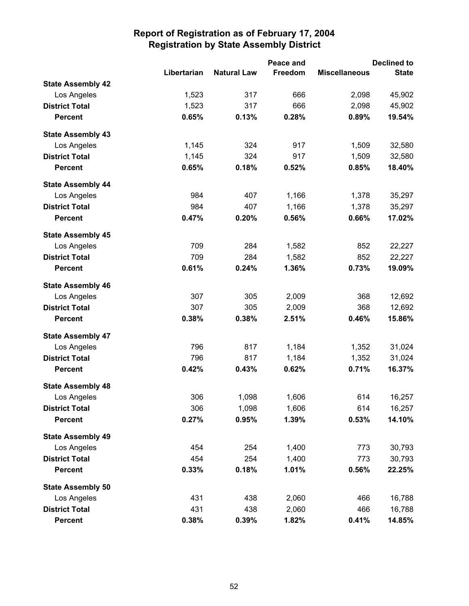|                          |             |                    | Peace and      | <b>Declined to</b>   |              |  |
|--------------------------|-------------|--------------------|----------------|----------------------|--------------|--|
|                          | Libertarian | <b>Natural Law</b> | <b>Freedom</b> | <b>Miscellaneous</b> | <b>State</b> |  |
| <b>State Assembly 42</b> |             |                    |                |                      |              |  |
| Los Angeles              | 1,523       | 317                | 666            | 2,098                | 45,902       |  |
| <b>District Total</b>    | 1,523       | 317                | 666            | 2,098                | 45,902       |  |
| <b>Percent</b>           | 0.65%       | 0.13%              | 0.28%          | 0.89%                | 19.54%       |  |
| <b>State Assembly 43</b> |             |                    |                |                      |              |  |
| Los Angeles              | 1,145       | 324                | 917            | 1,509                | 32,580       |  |
| <b>District Total</b>    | 1,145       | 324                | 917            | 1,509                | 32,580       |  |
| <b>Percent</b>           | 0.65%       | 0.18%              | 0.52%          | 0.85%                | 18.40%       |  |
| <b>State Assembly 44</b> |             |                    |                |                      |              |  |
| Los Angeles              | 984         | 407                | 1,166          | 1,378                | 35,297       |  |
| <b>District Total</b>    | 984         | 407                | 1,166          | 1,378                | 35,297       |  |
| <b>Percent</b>           | 0.47%       | 0.20%              | 0.56%          | 0.66%                | 17.02%       |  |
| <b>State Assembly 45</b> |             |                    |                |                      |              |  |
| Los Angeles              | 709         | 284                | 1,582          | 852                  | 22,227       |  |
| <b>District Total</b>    | 709         | 284                | 1,582          | 852                  | 22,227       |  |
| <b>Percent</b>           | 0.61%       | 0.24%              | 1.36%          | 0.73%                | 19.09%       |  |
| <b>State Assembly 46</b> |             |                    |                |                      |              |  |
| Los Angeles              | 307         | 305                | 2,009          | 368                  | 12,692       |  |
| <b>District Total</b>    | 307         | 305                | 2,009          | 368                  | 12,692       |  |
| <b>Percent</b>           | 0.38%       | 0.38%              | 2.51%          | 0.46%                | 15.86%       |  |
| <b>State Assembly 47</b> |             |                    |                |                      |              |  |
| Los Angeles              | 796         | 817                | 1,184          | 1,352                | 31,024       |  |
| <b>District Total</b>    | 796         | 817                | 1,184          | 1,352                | 31,024       |  |
| <b>Percent</b>           | 0.42%       | 0.43%              | 0.62%          | 0.71%                | 16.37%       |  |
| <b>State Assembly 48</b> |             |                    |                |                      |              |  |
| Los Angeles              | 306         | 1,098              | 1,606          | 614                  | 16,257       |  |
| <b>District Total</b>    | 306         | 1,098              | 1,606          | 614                  | 16,257       |  |
| <b>Percent</b>           | 0.27%       | 0.95%              | 1.39%          | 0.53%                | 14.10%       |  |
| <b>State Assembly 49</b> |             |                    |                |                      |              |  |
| Los Angeles              | 454         | 254                | 1,400          | 773                  | 30,793       |  |
| <b>District Total</b>    | 454         | 254                | 1,400          | 773                  | 30,793       |  |
| <b>Percent</b>           | 0.33%       | 0.18%              | 1.01%          | 0.56%                | 22.25%       |  |
| <b>State Assembly 50</b> |             |                    |                |                      |              |  |
| Los Angeles              | 431         | 438                | 2,060          | 466                  | 16,788       |  |
| <b>District Total</b>    | 431         | 438                | 2,060          | 466                  | 16,788       |  |
| <b>Percent</b>           | 0.38%       | 0.39%              | 1.82%          | 0.41%                | 14.85%       |  |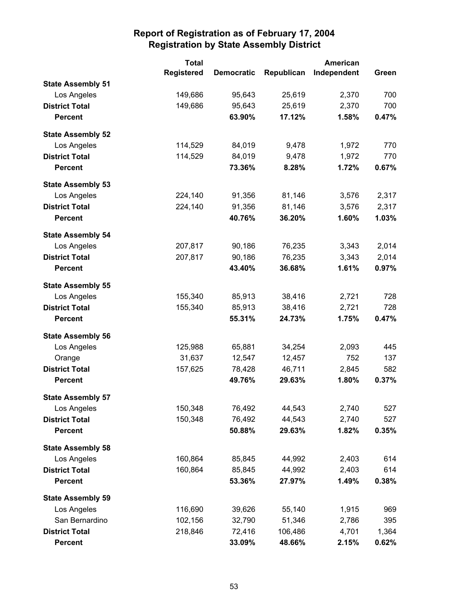|                          | <b>Total</b><br>American |                   |            |             |       |
|--------------------------|--------------------------|-------------------|------------|-------------|-------|
|                          | <b>Registered</b>        | <b>Democratic</b> | Republican | Independent | Green |
| <b>State Assembly 51</b> |                          |                   |            |             |       |
| Los Angeles              | 149,686                  | 95,643            | 25,619     | 2,370       | 700   |
| <b>District Total</b>    | 149,686                  | 95,643            | 25,619     | 2,370       | 700   |
| <b>Percent</b>           |                          | 63.90%            | 17.12%     | 1.58%       | 0.47% |
| <b>State Assembly 52</b> |                          |                   |            |             |       |
| Los Angeles              | 114,529                  | 84,019            | 9,478      | 1,972       | 770   |
| <b>District Total</b>    | 114,529                  | 84,019            | 9,478      | 1,972       | 770   |
| <b>Percent</b>           |                          | 73.36%            | 8.28%      | 1.72%       | 0.67% |
| <b>State Assembly 53</b> |                          |                   |            |             |       |
| Los Angeles              | 224,140                  | 91,356            | 81,146     | 3,576       | 2,317 |
| <b>District Total</b>    | 224,140                  | 91,356            | 81,146     | 3,576       | 2,317 |
| <b>Percent</b>           |                          | 40.76%            | 36.20%     | 1.60%       | 1.03% |
| <b>State Assembly 54</b> |                          |                   |            |             |       |
| Los Angeles              | 207,817                  | 90,186            | 76,235     | 3,343       | 2,014 |
| <b>District Total</b>    | 207,817                  | 90,186            | 76,235     | 3,343       | 2,014 |
| <b>Percent</b>           |                          | 43.40%            | 36.68%     | 1.61%       | 0.97% |
| <b>State Assembly 55</b> |                          |                   |            |             |       |
| Los Angeles              | 155,340                  | 85,913            | 38,416     | 2,721       | 728   |
| <b>District Total</b>    | 155,340                  | 85,913            | 38,416     | 2,721       | 728   |
| <b>Percent</b>           |                          | 55.31%            | 24.73%     | 1.75%       | 0.47% |
| <b>State Assembly 56</b> |                          |                   |            |             |       |
| Los Angeles              | 125,988                  | 65,881            | 34,254     | 2,093       | 445   |
| Orange                   | 31,637                   | 12,547            | 12,457     | 752         | 137   |
| <b>District Total</b>    | 157,625                  | 78,428            | 46,711     | 2,845       | 582   |
| <b>Percent</b>           |                          | 49.76%            | 29.63%     | 1.80%       | 0.37% |
| <b>State Assembly 57</b> |                          |                   |            |             |       |
| Los Angeles              | 150,348                  | 76,492            | 44,543     | 2,740       | 527   |
| <b>District Total</b>    | 150,348                  | 76,492            | 44,543     | 2,740       | 527   |
| <b>Percent</b>           |                          | 50.88%            | 29.63%     | 1.82%       | 0.35% |
| <b>State Assembly 58</b> |                          |                   |            |             |       |
| Los Angeles              | 160,864                  | 85,845            | 44,992     | 2,403       | 614   |
| <b>District Total</b>    | 160,864                  | 85,845            | 44,992     | 2,403       | 614   |
| <b>Percent</b>           |                          | 53.36%            | 27.97%     | 1.49%       | 0.38% |
| <b>State Assembly 59</b> |                          |                   |            |             |       |
| Los Angeles              | 116,690                  | 39,626            | 55,140     | 1,915       | 969   |
| San Bernardino           | 102,156                  | 32,790            | 51,346     | 2,786       | 395   |
| <b>District Total</b>    | 218,846                  | 72,416            | 106,486    | 4,701       | 1,364 |
| <b>Percent</b>           |                          | 33.09%            | 48.66%     | 2.15%       | 0.62% |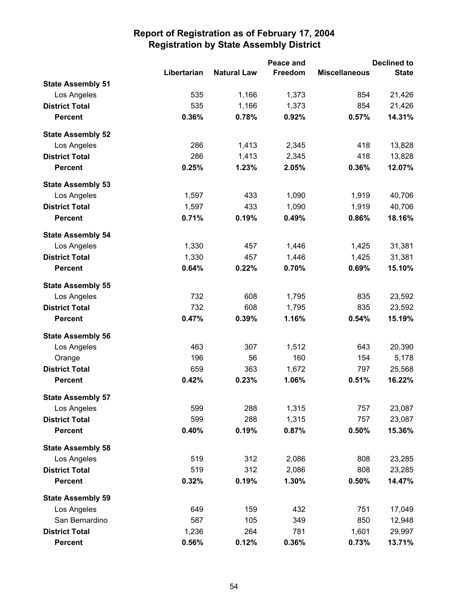|                          |             | Peace and          |         | <b>Declined to</b>   |              |
|--------------------------|-------------|--------------------|---------|----------------------|--------------|
|                          | Libertarian | <b>Natural Law</b> | Freedom | <b>Miscellaneous</b> | <b>State</b> |
| <b>State Assembly 51</b> |             |                    |         |                      |              |
| Los Angeles              | 535         | 1,166              | 1,373   | 854                  | 21,426       |
| <b>District Total</b>    | 535         | 1,166              | 1,373   | 854                  | 21,426       |
| <b>Percent</b>           | 0.36%       | 0.78%              | 0.92%   | 0.57%                | 14.31%       |
| <b>State Assembly 52</b> |             |                    |         |                      |              |
| Los Angeles              | 286         | 1,413              | 2,345   | 418                  | 13,828       |
| <b>District Total</b>    | 286         | 1,413              | 2,345   | 418                  | 13,828       |
| <b>Percent</b>           | 0.25%       | 1.23%              | 2.05%   | 0.36%                | 12.07%       |
| <b>State Assembly 53</b> |             |                    |         |                      |              |
| Los Angeles              | 1,597       | 433                | 1,090   | 1,919                | 40,706       |
| <b>District Total</b>    | 1,597       | 433                | 1,090   | 1,919                | 40,706       |
| <b>Percent</b>           | 0.71%       | 0.19%              | 0.49%   | 0.86%                | 18.16%       |
| <b>State Assembly 54</b> |             |                    |         |                      |              |
| Los Angeles              | 1,330       | 457                | 1,446   | 1,425                | 31,381       |
| <b>District Total</b>    | 1,330       | 457                | 1,446   | 1,425                | 31,381       |
| <b>Percent</b>           | 0.64%       | 0.22%              | 0.70%   | 0.69%                | 15.10%       |
| <b>State Assembly 55</b> |             |                    |         |                      |              |
| Los Angeles              | 732         | 608                | 1,795   | 835                  | 23,592       |
| <b>District Total</b>    | 732         | 608                | 1,795   | 835                  | 23,592       |
| <b>Percent</b>           | 0.47%       | 0.39%              | 1.16%   | 0.54%                | 15.19%       |
| <b>State Assembly 56</b> |             |                    |         |                      |              |
| Los Angeles              | 463         | 307                | 1,512   | 643                  | 20,390       |
| Orange                   | 196         | 56                 | 160     | 154                  | 5,178        |
| <b>District Total</b>    | 659         | 363                | 1,672   | 797                  | 25,568       |
| <b>Percent</b>           | 0.42%       | 0.23%              | 1.06%   | 0.51%                | 16.22%       |
| <b>State Assembly 57</b> |             |                    |         |                      |              |
| Los Angeles              | 599         | 288                | 1,315   | 757                  | 23,087       |
| <b>District Total</b>    | 599         | 288                | 1,315   | 757                  | 23,087       |
| <b>Percent</b>           | 0.40%       | 0.19%              | 0.87%   | 0.50%                | 15.36%       |
| <b>State Assembly 58</b> |             |                    |         |                      |              |
| Los Angeles              | 519         | 312                | 2,086   | 808                  | 23,285       |
| <b>District Total</b>    | 519         | 312                | 2,086   | 808                  | 23,285       |
| <b>Percent</b>           | 0.32%       | 0.19%              | 1.30%   | 0.50%                | 14.47%       |
| <b>State Assembly 59</b> |             |                    |         |                      |              |
| Los Angeles              | 649         | 159                | 432     | 751                  | 17,049       |
| San Bernardino           | 587         | 105                | 349     | 850                  | 12,948       |
| <b>District Total</b>    | 1,236       | 264                | 781     | 1,601                | 29,997       |
| <b>Percent</b>           | 0.56%       | 0.12%              | 0.36%   | 0.73%                | 13.71%       |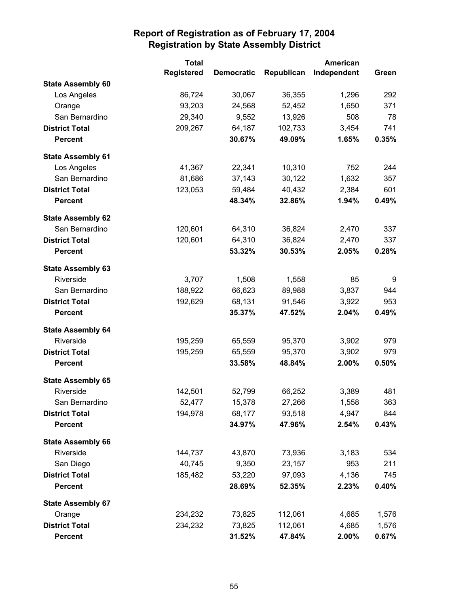|                          | <b>Total</b>      |                   | <b>American</b> |             |       |
|--------------------------|-------------------|-------------------|-----------------|-------------|-------|
|                          | <b>Registered</b> | <b>Democratic</b> | Republican      | Independent | Green |
| <b>State Assembly 60</b> |                   |                   |                 |             |       |
| Los Angeles              | 86,724            | 30,067            | 36,355          | 1,296       | 292   |
| Orange                   | 93,203            | 24,568            | 52,452          | 1,650       | 371   |
| San Bernardino           | 29,340            | 9,552             | 13,926          | 508         | 78    |
| <b>District Total</b>    | 209,267           | 64,187            | 102,733         | 3,454       | 741   |
| <b>Percent</b>           |                   | 30.67%            | 49.09%          | 1.65%       | 0.35% |
| <b>State Assembly 61</b> |                   |                   |                 |             |       |
| Los Angeles              | 41,367            | 22,341            | 10,310          | 752         | 244   |
| San Bernardino           | 81,686            | 37,143            | 30,122          | 1,632       | 357   |
| <b>District Total</b>    | 123,053           | 59,484            | 40,432          | 2,384       | 601   |
| <b>Percent</b>           |                   | 48.34%            | 32.86%          | 1.94%       | 0.49% |
| <b>State Assembly 62</b> |                   |                   |                 |             |       |
| San Bernardino           | 120,601           | 64,310            | 36,824          | 2,470       | 337   |
| <b>District Total</b>    | 120,601           | 64,310            | 36,824          | 2,470       | 337   |
| <b>Percent</b>           |                   | 53.32%            | 30.53%          | 2.05%       | 0.28% |
| <b>State Assembly 63</b> |                   |                   |                 |             |       |
| Riverside                | 3,707             | 1,508             | 1,558           | 85          | 9     |
| San Bernardino           | 188,922           | 66,623            | 89,988          | 3,837       | 944   |
| <b>District Total</b>    | 192,629           | 68,131            | 91,546          | 3,922       | 953   |
| <b>Percent</b>           |                   | 35.37%            | 47.52%          | 2.04%       | 0.49% |
| <b>State Assembly 64</b> |                   |                   |                 |             |       |
| Riverside                | 195,259           | 65,559            | 95,370          | 3,902       | 979   |
| <b>District Total</b>    | 195,259           | 65,559            | 95,370          | 3,902       | 979   |
| <b>Percent</b>           |                   | 33.58%            | 48.84%          | 2.00%       | 0.50% |
| <b>State Assembly 65</b> |                   |                   |                 |             |       |
| Riverside                | 142,501           | 52,799            | 66,252          | 3,389       | 481   |
| San Bernardino           | 52,477            | 15,378            | 27,266          | 1,558       | 363   |
| <b>District Total</b>    | 194,978           | 68,177            | 93,518          | 4,947       | 844   |
| <b>Percent</b>           |                   | 34.97%            | 47.96%          | 2.54%       | 0.43% |
| <b>State Assembly 66</b> |                   |                   |                 |             |       |
| Riverside                | 144,737           | 43,870            | 73,936          | 3,183       | 534   |
| San Diego                | 40,745            | 9,350             | 23,157          | 953         | 211   |
| <b>District Total</b>    | 185,482           | 53,220            | 97,093          | 4,136       | 745   |
| <b>Percent</b>           |                   | 28.69%            | 52.35%          | 2.23%       | 0.40% |
| <b>State Assembly 67</b> |                   |                   |                 |             |       |
| Orange                   | 234,232           | 73,825            | 112,061         | 4,685       | 1,576 |
| <b>District Total</b>    | 234,232           | 73,825            | 112,061         | 4,685       | 1,576 |
| <b>Percent</b>           |                   | 31.52%            | 47.84%          | 2.00%       | 0.67% |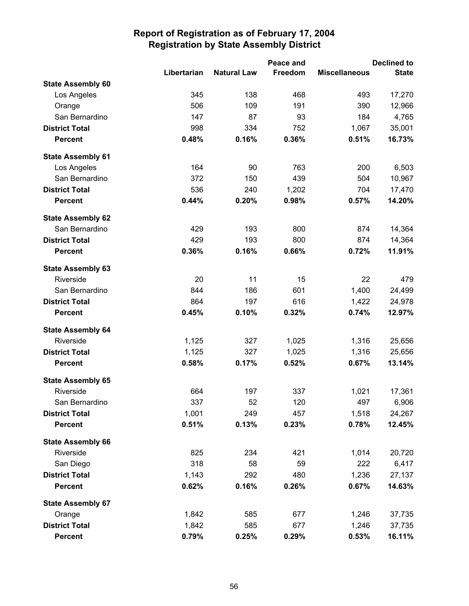|                          |             | Peace and          |         | <b>Declined to</b>   |              |  |
|--------------------------|-------------|--------------------|---------|----------------------|--------------|--|
|                          | Libertarian | <b>Natural Law</b> | Freedom | <b>Miscellaneous</b> | <b>State</b> |  |
| <b>State Assembly 60</b> |             |                    |         |                      |              |  |
| Los Angeles              | 345         | 138                | 468     | 493                  | 17,270       |  |
| Orange                   | 506         | 109                | 191     | 390                  | 12,966       |  |
| San Bernardino           | 147         | 87                 | 93      | 184                  | 4,765        |  |
| <b>District Total</b>    | 998         | 334                | 752     | 1,067                | 35,001       |  |
| <b>Percent</b>           | 0.48%       | 0.16%              | 0.36%   | 0.51%                | 16.73%       |  |
| <b>State Assembly 61</b> |             |                    |         |                      |              |  |
| Los Angeles              | 164         | 90                 | 763     | 200                  | 6,503        |  |
| San Bernardino           | 372         | 150                | 439     | 504                  | 10,967       |  |
| <b>District Total</b>    | 536         | 240                | 1,202   | 704                  | 17,470       |  |
| <b>Percent</b>           | 0.44%       | 0.20%              | 0.98%   | 0.57%                | 14.20%       |  |
| <b>State Assembly 62</b> |             |                    |         |                      |              |  |
| San Bernardino           | 429         | 193                | 800     | 874                  | 14,364       |  |
| <b>District Total</b>    | 429         | 193                | 800     | 874                  | 14,364       |  |
| <b>Percent</b>           | 0.36%       | 0.16%              | 0.66%   | 0.72%                | 11.91%       |  |
| <b>State Assembly 63</b> |             |                    |         |                      |              |  |
| Riverside                | 20          | 11                 | 15      | 22                   | 479          |  |
| San Bernardino           | 844         | 186                | 601     | 1,400                | 24,499       |  |
| <b>District Total</b>    | 864         | 197                | 616     | 1,422                | 24,978       |  |
| <b>Percent</b>           | 0.45%       | 0.10%              | 0.32%   | 0.74%                | 12.97%       |  |
| <b>State Assembly 64</b> |             |                    |         |                      |              |  |
| Riverside                | 1,125       | 327                | 1,025   | 1,316                | 25,656       |  |
| <b>District Total</b>    | 1,125       | 327                | 1,025   | 1,316                | 25,656       |  |
| <b>Percent</b>           | 0.58%       | 0.17%              | 0.52%   | 0.67%                | 13.14%       |  |
| <b>State Assembly 65</b> |             |                    |         |                      |              |  |
| Riverside                | 664         | 197                | 337     | 1,021                | 17,361       |  |
| San Bernardino           | 337         | 52                 | 120     | 497                  | 6,906        |  |
| <b>District Total</b>    | 1,001       | 249                | 457     | 1,518                | 24,267       |  |
| <b>Percent</b>           | 0.51%       | 0.13%              | 0.23%   | 0.78%                | 12.45%       |  |
| <b>State Assembly 66</b> |             |                    |         |                      |              |  |
| Riverside                | 825         | 234                | 421     | 1,014                | 20,720       |  |
| San Diego                | 318         | 58                 | 59      | 222                  | 6,417        |  |
| <b>District Total</b>    | 1,143       | 292                | 480     | 1,236                | 27,137       |  |
| <b>Percent</b>           | 0.62%       | 0.16%              | 0.26%   | 0.67%                | 14.63%       |  |
| <b>State Assembly 67</b> |             |                    |         |                      |              |  |
| Orange                   | 1,842       | 585                | 677     | 1,246                | 37,735       |  |
| <b>District Total</b>    | 1,842       | 585                | 677     | 1,246                | 37,735       |  |
| <b>Percent</b>           | 0.79%       | 0.25%              | 0.29%   | 0.53%                | 16.11%       |  |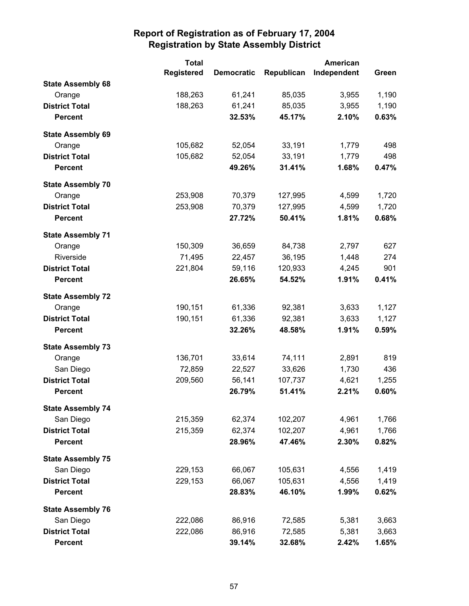|                          | <b>Total</b>      |                   | American   |             |       |
|--------------------------|-------------------|-------------------|------------|-------------|-------|
|                          | <b>Registered</b> | <b>Democratic</b> | Republican | Independent | Green |
| <b>State Assembly 68</b> |                   |                   |            |             |       |
| Orange                   | 188,263           | 61,241            | 85,035     | 3,955       | 1,190 |
| <b>District Total</b>    | 188,263           | 61,241            | 85,035     | 3,955       | 1,190 |
| <b>Percent</b>           |                   | 32.53%            | 45.17%     | 2.10%       | 0.63% |
| <b>State Assembly 69</b> |                   |                   |            |             |       |
| Orange                   | 105,682           | 52,054            | 33,191     | 1,779       | 498   |
| <b>District Total</b>    | 105,682           | 52,054            | 33,191     | 1,779       | 498   |
| <b>Percent</b>           |                   | 49.26%            | 31.41%     | 1.68%       | 0.47% |
| <b>State Assembly 70</b> |                   |                   |            |             |       |
| Orange                   | 253,908           | 70,379            | 127,995    | 4,599       | 1,720 |
| <b>District Total</b>    | 253,908           | 70,379            | 127,995    | 4,599       | 1,720 |
| <b>Percent</b>           |                   | 27.72%            | 50.41%     | 1.81%       | 0.68% |
| <b>State Assembly 71</b> |                   |                   |            |             |       |
| Orange                   | 150,309           | 36,659            | 84,738     | 2,797       | 627   |
| Riverside                | 71,495            | 22,457            | 36,195     | 1,448       | 274   |
| <b>District Total</b>    | 221,804           | 59,116            | 120,933    | 4,245       | 901   |
| <b>Percent</b>           |                   | 26.65%            | 54.52%     | 1.91%       | 0.41% |
| <b>State Assembly 72</b> |                   |                   |            |             |       |
| Orange                   | 190,151           | 61,336            | 92,381     | 3,633       | 1,127 |
| <b>District Total</b>    | 190,151           | 61,336            | 92,381     | 3,633       | 1,127 |
| <b>Percent</b>           |                   | 32.26%            | 48.58%     | 1.91%       | 0.59% |
| <b>State Assembly 73</b> |                   |                   |            |             |       |
| Orange                   | 136,701           | 33,614            | 74,111     | 2,891       | 819   |
| San Diego                | 72,859            | 22,527            | 33,626     | 1,730       | 436   |
| <b>District Total</b>    | 209,560           | 56,141            | 107,737    | 4,621       | 1,255 |
| <b>Percent</b>           |                   | 26.79%            | 51.41%     | 2.21%       | 0.60% |
| <b>State Assembly 74</b> |                   |                   |            |             |       |
| San Diego                | 215,359           | 62,374            | 102,207    | 4,961       | 1,766 |
| <b>District Total</b>    | 215,359           | 62,374            | 102,207    | 4,961       | 1,766 |
| <b>Percent</b>           |                   | 28.96%            | 47.46%     | 2.30%       | 0.82% |
| <b>State Assembly 75</b> |                   |                   |            |             |       |
| San Diego                | 229,153           | 66,067            | 105,631    | 4,556       | 1,419 |
| <b>District Total</b>    | 229,153           | 66,067            | 105,631    | 4,556       | 1,419 |
| <b>Percent</b>           |                   | 28.83%            | 46.10%     | 1.99%       | 0.62% |
| <b>State Assembly 76</b> |                   |                   |            |             |       |
| San Diego                | 222,086           | 86,916            | 72,585     | 5,381       | 3,663 |
| <b>District Total</b>    | 222,086           | 86,916            | 72,585     | 5,381       | 3,663 |
| <b>Percent</b>           |                   | 39.14%            | 32.68%     | 2.42%       | 1.65% |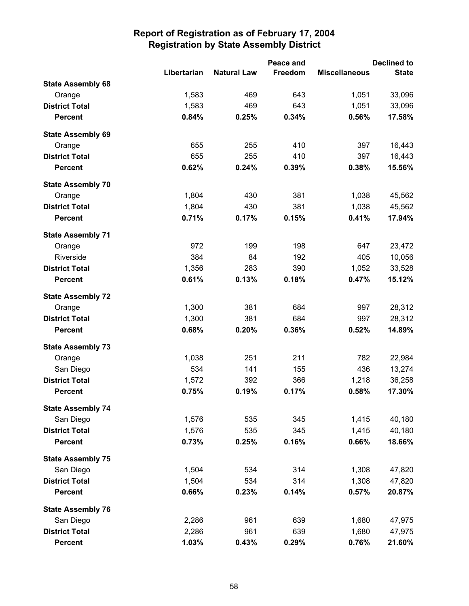|                          |             | Peace and          |                | <b>Declined to</b>   |              |
|--------------------------|-------------|--------------------|----------------|----------------------|--------------|
|                          | Libertarian | <b>Natural Law</b> | <b>Freedom</b> | <b>Miscellaneous</b> | <b>State</b> |
| <b>State Assembly 68</b> |             |                    |                |                      |              |
| Orange                   | 1,583       | 469                | 643            | 1,051                | 33,096       |
| <b>District Total</b>    | 1,583       | 469                | 643            | 1,051                | 33,096       |
| <b>Percent</b>           | 0.84%       | 0.25%              | 0.34%          | 0.56%                | 17.58%       |
| <b>State Assembly 69</b> |             |                    |                |                      |              |
| Orange                   | 655         | 255                | 410            | 397                  | 16,443       |
| <b>District Total</b>    | 655         | 255                | 410            | 397                  | 16,443       |
| <b>Percent</b>           | 0.62%       | 0.24%              | 0.39%          | 0.38%                | 15.56%       |
| <b>State Assembly 70</b> |             |                    |                |                      |              |
| Orange                   | 1,804       | 430                | 381            | 1,038                | 45,562       |
| <b>District Total</b>    | 1,804       | 430                | 381            | 1,038                | 45,562       |
| <b>Percent</b>           | 0.71%       | 0.17%              | 0.15%          | 0.41%                | 17.94%       |
| <b>State Assembly 71</b> |             |                    |                |                      |              |
| Orange                   | 972         | 199                | 198            | 647                  | 23,472       |
| Riverside                | 384         | 84                 | 192            | 405                  | 10,056       |
| <b>District Total</b>    | 1,356       | 283                | 390            | 1,052                | 33,528       |
| <b>Percent</b>           | 0.61%       | 0.13%              | 0.18%          | 0.47%                | 15.12%       |
| <b>State Assembly 72</b> |             |                    |                |                      |              |
| Orange                   | 1,300       | 381                | 684            | 997                  | 28,312       |
| <b>District Total</b>    | 1,300       | 381                | 684            | 997                  | 28,312       |
| <b>Percent</b>           | 0.68%       | 0.20%              | 0.36%          | 0.52%                | 14.89%       |
| <b>State Assembly 73</b> |             |                    |                |                      |              |
| Orange                   | 1,038       | 251                | 211            | 782                  | 22,984       |
| San Diego                | 534         | 141                | 155            | 436                  | 13,274       |
| <b>District Total</b>    | 1,572       | 392                | 366            | 1,218                | 36,258       |
| <b>Percent</b>           | 0.75%       | 0.19%              | 0.17%          | 0.58%                | 17.30%       |
| <b>State Assembly 74</b> |             |                    |                |                      |              |
| San Diego                | 1,576       | 535                | 345            | 1,415                | 40,180       |
| <b>District Total</b>    | 1,576       | 535                | 345            | 1,415                | 40,180       |
| <b>Percent</b>           | 0.73%       | 0.25%              | 0.16%          | 0.66%                | 18.66%       |
| <b>State Assembly 75</b> |             |                    |                |                      |              |
| San Diego                | 1,504       | 534                | 314            | 1,308                | 47,820       |
| <b>District Total</b>    | 1,504       | 534                | 314            | 1,308                | 47,820       |
| <b>Percent</b>           | 0.66%       | 0.23%              | 0.14%          | 0.57%                | 20.87%       |
| <b>State Assembly 76</b> |             |                    |                |                      |              |
| San Diego                | 2,286       | 961                | 639            | 1,680                | 47,975       |
| <b>District Total</b>    | 2,286       | 961                | 639            | 1,680                | 47,975       |
| Percent                  | 1.03%       | 0.43%              | 0.29%          | 0.76%                | 21.60%       |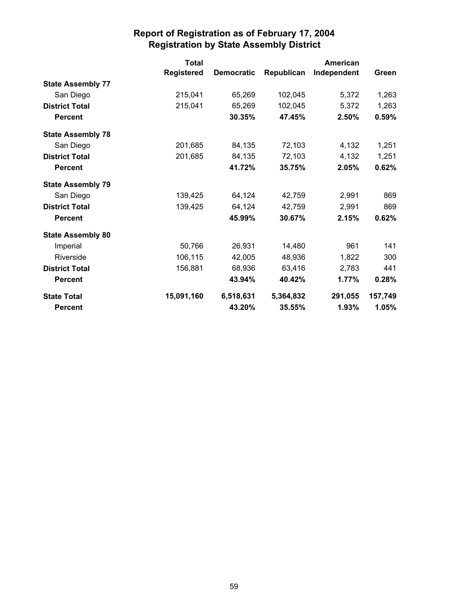|                          | <b>Total</b>      |                   |            | American    |         |
|--------------------------|-------------------|-------------------|------------|-------------|---------|
|                          | <b>Registered</b> | <b>Democratic</b> | Republican | Independent | Green   |
| <b>State Assembly 77</b> |                   |                   |            |             |         |
| San Diego                | 215,041           | 65,269            | 102,045    | 5,372       | 1,263   |
| <b>District Total</b>    | 215,041           | 65,269            | 102,045    | 5,372       | 1,263   |
| <b>Percent</b>           |                   | 30.35%            | 47.45%     | 2.50%       | 0.59%   |
| <b>State Assembly 78</b> |                   |                   |            |             |         |
| San Diego                | 201,685           | 84,135            | 72,103     | 4,132       | 1,251   |
| <b>District Total</b>    | 201,685           | 84,135            | 72,103     | 4,132       | 1,251   |
| <b>Percent</b>           |                   | 41.72%            | 35.75%     | 2.05%       | 0.62%   |
| <b>State Assembly 79</b> |                   |                   |            |             |         |
| San Diego                | 139,425           | 64,124            | 42,759     | 2,991       | 869     |
| <b>District Total</b>    | 139,425           | 64,124            | 42,759     | 2,991       | 869     |
| <b>Percent</b>           |                   | 45.99%            | 30.67%     | 2.15%       | 0.62%   |
| <b>State Assembly 80</b> |                   |                   |            |             |         |
| Imperial                 | 50,766            | 26,931            | 14,480     | 961         | 141     |
| Riverside                | 106,115           | 42,005            | 48,936     | 1,822       | 300     |
| <b>District Total</b>    | 156,881           | 68,936            | 63,416     | 2,783       | 441     |
| <b>Percent</b>           |                   | 43.94%            | 40.42%     | 1.77%       | 0.28%   |
| <b>State Total</b>       | 15,091,160        | 6,518,631         | 5,364,832  | 291,055     | 157,749 |
| <b>Percent</b>           |                   | 43.20%            | 35.55%     | 1.93%       | 1.05%   |